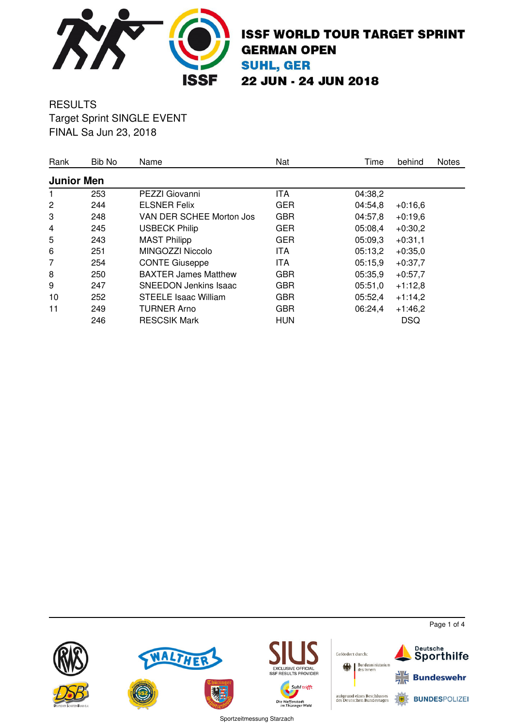

#### **RESULTS** Target Sprint SINGLE EVENT FINAL Sa Jun 23, 2018

| Rank              | Bib No | Name                         | Nat        | Time    | behind     | <b>Notes</b> |
|-------------------|--------|------------------------------|------------|---------|------------|--------------|
| <b>Junior Men</b> |        |                              |            |         |            |              |
| 1.                | 253    | PEZZI Giovanni               | ITA        | 04:38,2 |            |              |
| 2                 | 244    | <b>ELSNER Felix</b>          | <b>GER</b> | 04:54,8 | $+0:16,6$  |              |
| 3                 | 248    | VAN DER SCHEE Morton Jos     | <b>GBR</b> | 04:57,8 | $+0.19,6$  |              |
| 4                 | 245    | <b>USBECK Philip</b>         | <b>GER</b> | 05:08,4 | $+0:30,2$  |              |
| 5                 | 243    | <b>MAST Philipp</b>          | <b>GER</b> | 05:09,3 | $+0:31,1$  |              |
| 6                 | 251    | MINGOZZI Niccolo             | ITA        | 05:13,2 | $+0:35,0$  |              |
| 7                 | 254    | <b>CONTE Giuseppe</b>        | ITA        | 05:15,9 | $+0:37,7$  |              |
| 8                 | 250    | <b>BAXTER James Matthew</b>  | <b>GBR</b> | 05:35,9 | $+0:57,7$  |              |
| 9                 | 247    | <b>SNEEDON Jenkins Isaac</b> | <b>GBR</b> | 05:51,0 | $+1:12,8$  |              |
| 10                | 252    | <b>STEELE Isaac William</b>  | <b>GBR</b> | 05:52,4 | $+1:14,2$  |              |
| 11                | 249    | <b>TURNER Arno</b>           | <b>GBR</b> | 06:24,4 | $+1:46,2$  |              |
|                   | 246    | <b>RESCSIK Mark</b>          | <b>HUN</b> |         | <b>DSQ</b> |              |



Page 1 of 4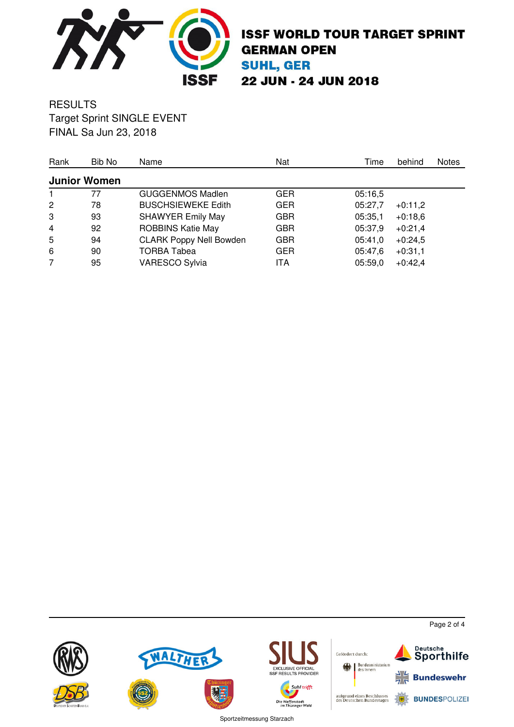

#### **RESULTS** Target Sprint SINGLE EVENT FINAL Sa Jun 23, 2018

| Rank           | Bib No              | Name                           | Nat        | Time    | behind    | <b>Notes</b> |
|----------------|---------------------|--------------------------------|------------|---------|-----------|--------------|
|                | <b>Junior Women</b> |                                |            |         |           |              |
| 1.             | 77                  | GUGGENMOS Madlen               | <b>GER</b> | 05:16,5 |           |              |
| $\overline{2}$ | 78                  | <b>BUSCHSIEWEKE Edith</b>      | <b>GER</b> | 05:27,7 | $+0:11,2$ |              |
| 3              | 93                  | <b>SHAWYER Emily May</b>       | <b>GBR</b> | 05:35,1 | $+0.18,6$ |              |
| $\overline{4}$ | 92                  | <b>ROBBINS Katie May</b>       | <b>GBR</b> | 05:37,9 | $+0:21,4$ |              |
| 5              | 94                  | <b>CLARK Poppy Nell Bowden</b> | <b>GBR</b> | 05:41,0 | $+0:24,5$ |              |
| 6              | 90                  | <b>TORBA Tabea</b>             | <b>GER</b> | 05:47,6 | $+0:31,1$ |              |
| $\overline{7}$ | 95                  | <b>VARESCO Sylvia</b>          | ITA        | 05:59,0 | $+0:42,4$ |              |



Page 2 of 4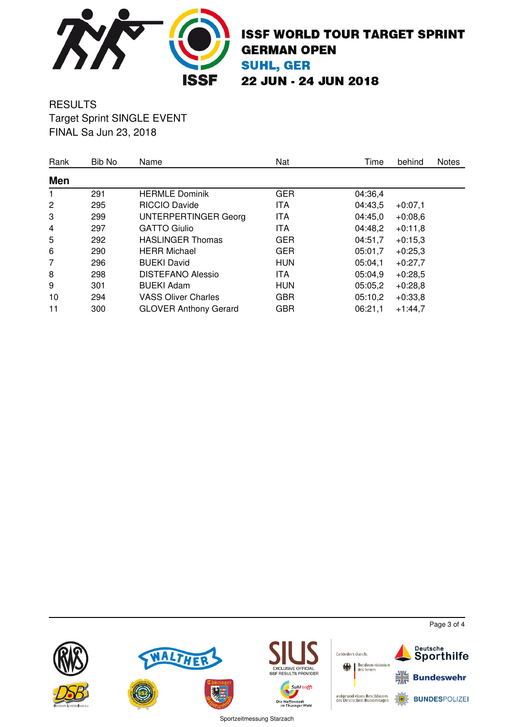

#### **RESULTS** Target Sprint SINGLE EVENT FINAL Sa Jun 23, 2018

| Rank           | Bib No | Name                         | Nat        | Time    | behind    | Notes |
|----------------|--------|------------------------------|------------|---------|-----------|-------|
| Men            |        |                              |            |         |           |       |
| 1              | 291    | <b>HERMLE Dominik</b>        | <b>GER</b> | 04:36,4 |           |       |
| $\overline{2}$ | 295    | <b>RICCIO Davide</b>         | ITA        | 04:43,5 | $+0:07,1$ |       |
| 3              | 299    | UNTERPERTINGER Georg         | ITA        | 04:45,0 | $+0.08,6$ |       |
| 4              | 297    | <b>GATTO Giulio</b>          | ITA        | 04:48,2 | $+0:11,8$ |       |
| 5              | 292    | <b>HASLINGER Thomas</b>      | <b>GER</b> | 04:51,7 | $+0:15,3$ |       |
| 6              | 290    | <b>HERR Michael</b>          | <b>GER</b> | 05:01,7 | $+0:25,3$ |       |
| 7              | 296    | <b>BUEKI David</b>           | <b>HUN</b> | 05:04,1 | $+0:27,7$ |       |
| 8              | 298    | <b>DISTEFANO Alessio</b>     | ITA        | 05:04,9 | $+0:28,5$ |       |
| 9              | 301    | <b>BUEKI Adam</b>            | <b>HUN</b> | 05:05,2 | $+0:28,8$ |       |
| 10             | 294    | <b>VASS Oliver Charles</b>   | <b>GBR</b> | 05:10,2 | $+0:33,8$ |       |
| 11             | 300    | <b>GLOVER Anthony Gerard</b> | <b>GBR</b> | 06:21,1 | $+1:44,7$ |       |



Page 3 of 4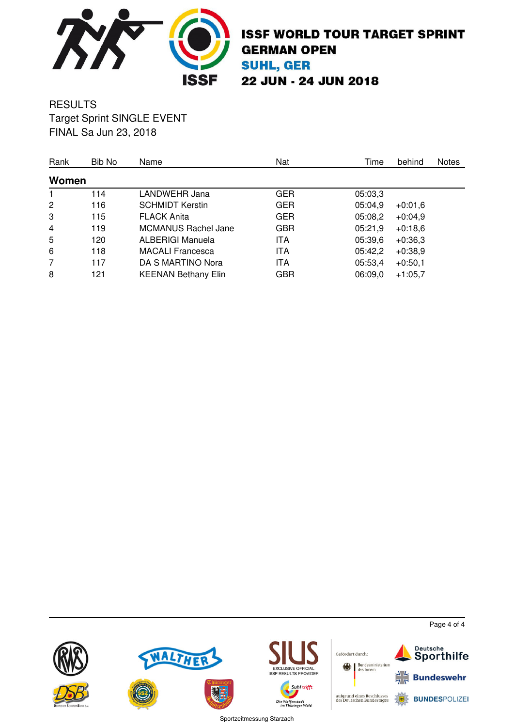

#### **RESULTS** Target Sprint SINGLE EVENT FINAL Sa Jun 23, 2018

| Rank           | Bib No | Name                       | Nat        | Time    | behind    | <b>Notes</b> |
|----------------|--------|----------------------------|------------|---------|-----------|--------------|
| Women          |        |                            |            |         |           |              |
|                | 114    | LANDWEHR Jana              | <b>GER</b> | 05:03,3 |           |              |
| $\overline{2}$ | 116    | <b>SCHMIDT Kerstin</b>     | <b>GER</b> | 05:04.9 | $+0.01,6$ |              |
| 3              | 115    | <b>FLACK Anita</b>         | <b>GER</b> | 05:08,2 | $+0:04,9$ |              |
| $\overline{4}$ | 119    | <b>MCMANUS Rachel Jane</b> | <b>GBR</b> | 05:21,9 | $+0.18,6$ |              |
| 5              | 120    | <b>ALBERIGI Manuela</b>    | <b>ITA</b> | 05:39,6 | $+0.36,3$ |              |
| 6              | 118    | <b>MACALI</b> Francesca    | <b>ITA</b> | 05:42,2 | $+0.38,9$ |              |
| 7              | 117    | DA S MARTINO Nora          | ITA        | 05:53,4 | $+0:50,1$ |              |
| 8              | 121    | <b>KEENAN Bethany Elin</b> | <b>GBR</b> | 06:09,0 | $+1:05,7$ |              |



Page 4 of 4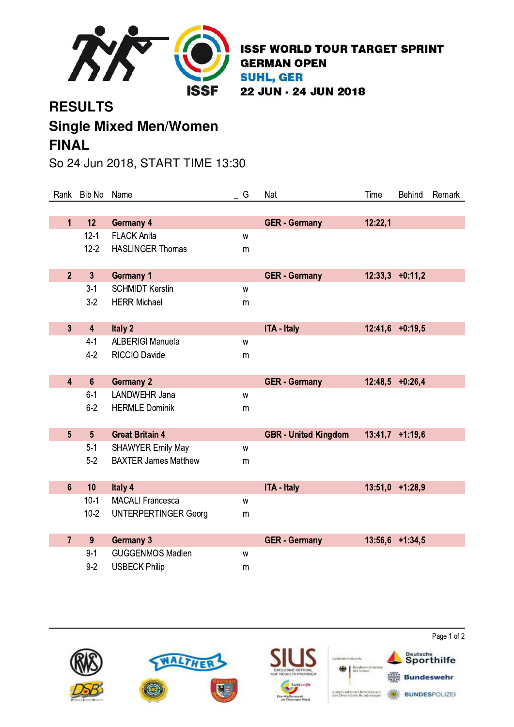

# **RESULTS Single Mixed Men/Women FINAL**

## So 24 Jun 2018, START TIME 13:30

| Rank           | Bib No                  | Name                        | G | Nat                         | Time    | <b>Behind</b>     | Remark |
|----------------|-------------------------|-----------------------------|---|-----------------------------|---------|-------------------|--------|
|                |                         |                             |   |                             |         |                   |        |
| $\mathbf{1}$   | 12                      | <b>Germany 4</b>            |   | <b>GER - Germany</b>        | 12:22,1 |                   |        |
|                | $12 - 1$                | <b>FLACK Anita</b>          | W |                             |         |                   |        |
|                | $12 - 2$                | <b>HASLINGER Thomas</b>     | m |                             |         |                   |        |
|                |                         |                             |   |                             |         |                   |        |
| 2 <sup>2</sup> | $\overline{3}$          | <b>Germany 1</b>            |   | <b>GER - Germany</b>        | 12:33,3 | $+0:11,2$         |        |
|                | $3 - 1$                 | <b>SCHMIDT Kerstin</b>      | W |                             |         |                   |        |
|                | $3-2$                   | <b>HERR Michael</b>         | m |                             |         |                   |        |
|                |                         |                             |   |                             |         |                   |        |
| $\overline{3}$ | $\overline{\mathbf{4}}$ | Italy 2                     |   | <b>ITA - Italy</b>          |         | $12:41,6$ +0:19,5 |        |
|                | $4 - 1$                 | <b>ALBERIGI Manuela</b>     | W |                             |         |                   |        |
|                | $4-2$                   | <b>RICCIO Davide</b>        | m |                             |         |                   |        |
|                |                         |                             |   |                             |         |                   |        |
| $\overline{4}$ | $6\phantom{a}$          | <b>Germany 2</b>            |   | <b>GER - Germany</b>        | 12:48,5 | $+0:26,4$         |        |
|                | $6 - 1$                 | <b>LANDWEHR Jana</b>        | W |                             |         |                   |        |
|                | $6-2$                   | <b>HERMLE Dominik</b>       | m |                             |         |                   |        |
|                |                         |                             |   |                             |         |                   |        |
| 5 <sup>5</sup> | 5 <sup>5</sup>          | <b>Great Britain 4</b>      |   | <b>GBR</b> - United Kingdom |         | $13:41,7$ +1:19,6 |        |
|                | $5 - 1$                 | <b>SHAWYER Emily May</b>    | W |                             |         |                   |        |
|                | $5-2$                   | <b>BAXTER James Matthew</b> | m |                             |         |                   |        |
|                |                         |                             |   |                             |         |                   |        |
| $6\phantom{a}$ | 10                      | Italy 4                     |   | <b>ITA - Italy</b>          | 13:51,0 | $+1:28,9$         |        |
|                | $10-1$                  | <b>MACALI Francesca</b>     | W |                             |         |                   |        |
|                | $10 - 2$                | <b>UNTERPERTINGER Georg</b> | m |                             |         |                   |        |
|                |                         |                             |   |                             |         |                   |        |
| $\overline{7}$ | 9                       | <b>Germany 3</b>            |   | <b>GER - Germany</b>        |         | 13:56,6 +1:34,5   |        |
|                | $9 - 1$                 | <b>GUGGENMOS Madlen</b>     | W |                             |         |                   |        |
|                | $9 - 2$                 | <b>USBECK Philip</b>        | m |                             |         |                   |        |